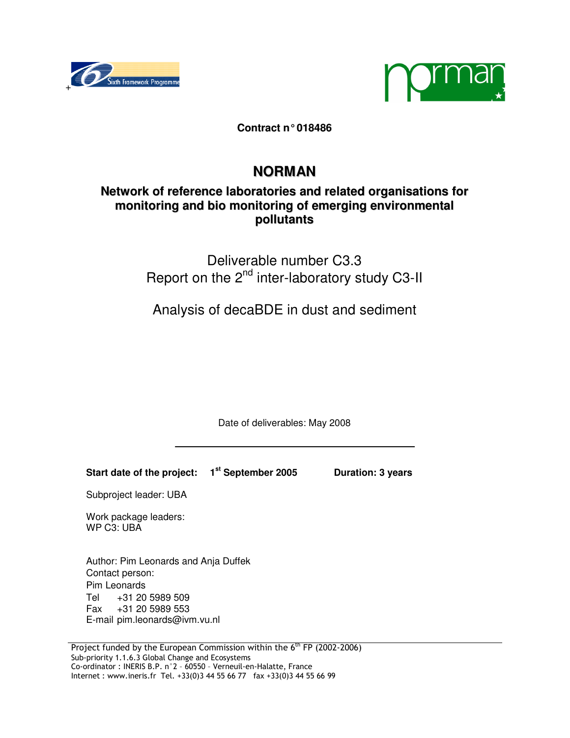



**Contract n°018486**

# **NORMAN**

# **Network of reference laboratories and related organisations for monitoring and bio monitoring of emerging environmental pollutants**

# Deliverable number C3.3 Report on the 2<sup>nd</sup> inter-laboratory study C3-II

Analysis of decaBDE in dust and sediment

Date of deliverables: May 2008

**Start date of the project: 1st September 2005 Duration: 3 years** 

Subproject leader: UBA

Work package leaders: WP C3: UBA

Author: Pim Leonards and Anja Duffek Contact person: Pim Leonards Tel +31 20 5989 509 Fax +31 20 5989 553 E-mail pim.leonards@ivm.vu.nl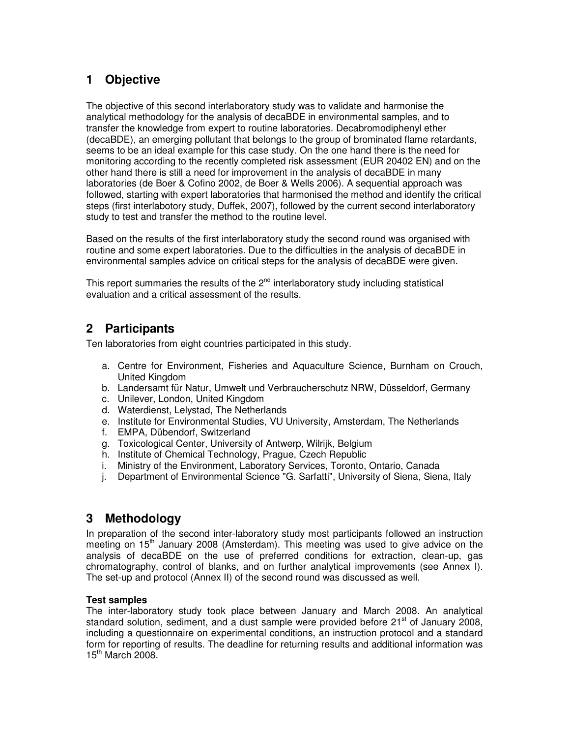# **1 Objective**

The objective of this second interlaboratory study was to validate and harmonise the analytical methodology for the analysis of decaBDE in environmental samples, and to transfer the knowledge from expert to routine laboratories. Decabromodiphenyl ether (decaBDE), an emerging pollutant that belongs to the group of brominated flame retardants, seems to be an ideal example for this case study. On the one hand there is the need for monitoring according to the recently completed risk assessment (EUR 20402 EN) and on the other hand there is still a need for improvement in the analysis of decaBDE in many laboratories (de Boer & Cofino 2002, de Boer & Wells 2006). A sequential approach was followed, starting with expert laboratories that harmonised the method and identify the critical steps (first interlabotory study, Duffek, 2007), followed by the current second interlaboratory study to test and transfer the method to the routine level.

Based on the results of the first interlaboratory study the second round was organised with routine and some expert laboratories. Due to the difficulties in the analysis of decaBDE in environmental samples advice on critical steps for the analysis of decaBDE were given.

This report summaries the results of the  $2<sup>nd</sup>$  interlaboratory study including statistical evaluation and a critical assessment of the results.

## **2 Participants**

Ten laboratories from eight countries participated in this study.

- a. Centre for Environment, Fisheries and Aquaculture Science, Burnham on Crouch, United Kingdom
- b. Landersamt für Natur, Umwelt und Verbraucherschutz NRW, Düsseldorf, Germany
- c. Unilever, London, United Kingdom
- d. Waterdienst, Lelystad, The Netherlands
- e. Institute for Environmental Studies, VU University, Amsterdam, The Netherlands
- f. EMPA, Dübendorf, Switzerland
- g. Toxicological Center, University of Antwerp, Wilrijk, Belgium
- h. Institute of Chemical Technology, Prague, Czech Republic
- i. Ministry of the Environment, Laboratory Services, Toronto, Ontario, Canada
- j. Department of Environmental Science "G. Sarfatti", University of Siena, Siena, Italy

## **3 Methodology**

In preparation of the second inter-laboratory study most participants followed an instruction meeting on  $15<sup>th</sup>$  January 2008 (Amsterdam). This meeting was used to give advice on the analysis of decaBDE on the use of preferred conditions for extraction, clean-up, gas chromatography, control of blanks, and on further analytical improvements (see Annex I). The set-up and protocol (Annex II) of the second round was discussed as well.

### **Test samples**

The inter-laboratory study took place between January and March 2008. An analytical standard solution, sediment, and a dust sample were provided before  $21<sup>st</sup>$  of January 2008. including a questionnaire on experimental conditions, an instruction protocol and a standard form for reporting of results. The deadline for returning results and additional information was 15<sup>th</sup> March 2008.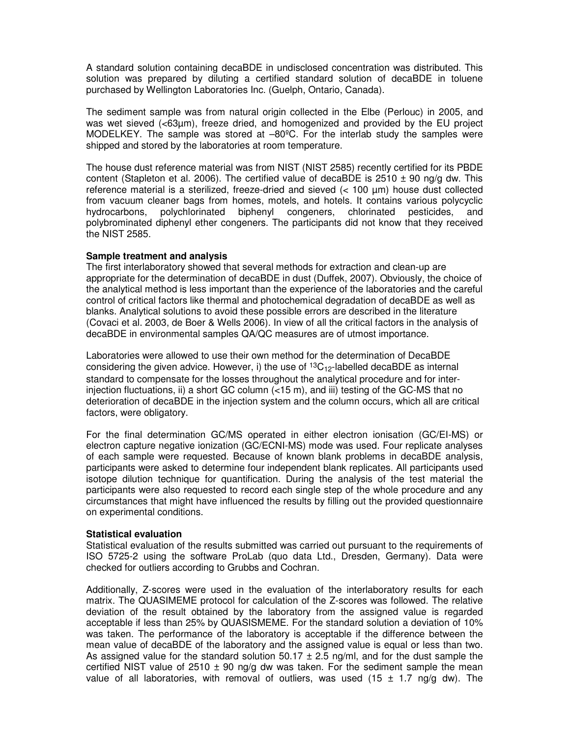A standard solution containing decaBDE in undisclosed concentration was distributed. This solution was prepared by diluting a certified standard solution of decaBDE in toluene purchased by Wellington Laboratories Inc. (Guelph, Ontario, Canada).

The sediment sample was from natural origin collected in the Elbe (Perlouc) in 2005, and was wet sieved (<63µm), freeze dried, and homogenized and provided by the EU project MODELKEY. The sample was stored at –80ºC. For the interlab study the samples were shipped and stored by the laboratories at room temperature.

The house dust reference material was from NIST (NIST 2585) recently certified for its PBDE content (Stapleton et al. 2006). The certified value of decaBDE is  $2510 \pm 90$  ng/g dw. This reference material is a sterilized, freeze-dried and sieved (< 100 µm) house dust collected from vacuum cleaner bags from homes, motels, and hotels. It contains various polycyclic hydrocarbons, polychlorinated biphenyl congeners, chlorinated pesticides, and polybrominated diphenyl ether congeners. The participants did not know that they received the NIST 2585.

#### **Sample treatment and analysis**

The first interlaboratory showed that several methods for extraction and clean-up are appropriate for the determination of decaBDE in dust (Duffek, 2007). Obviously, the choice of the analytical method is less important than the experience of the laboratories and the careful control of critical factors like thermal and photochemical degradation of decaBDE as well as blanks. Analytical solutions to avoid these possible errors are described in the literature (Covaci et al. 2003, de Boer & Wells 2006). In view of all the critical factors in the analysis of decaBDE in environmental samples QA/QC measures are of utmost importance.

Laboratories were allowed to use their own method for the determination of DecaBDE considering the given advice. However, i) the use of  ${}^{13}C_{12}$ -labelled decaBDE as internal standard to compensate for the losses throughout the analytical procedure and for interinjection fluctuations, ii) a short GC column  $(< 15 \text{ m})$ , and iii) testing of the GC-MS that no deterioration of decaBDE in the injection system and the column occurs, which all are critical factors, were obligatory.

For the final determination GC/MS operated in either electron ionisation (GC/EI-MS) or electron capture negative ionization (GC/ECNI-MS) mode was used. Four replicate analyses of each sample were requested. Because of known blank problems in decaBDE analysis, participants were asked to determine four independent blank replicates. All participants used isotope dilution technique for quantification. During the analysis of the test material the participants were also requested to record each single step of the whole procedure and any circumstances that might have influenced the results by filling out the provided questionnaire on experimental conditions.

#### **Statistical evaluation**

Statistical evaluation of the results submitted was carried out pursuant to the requirements of ISO 5725-2 using the software ProLab (quo data Ltd., Dresden, Germany). Data were checked for outliers according to Grubbs and Cochran.

Additionally, Z-scores were used in the evaluation of the interlaboratory results for each matrix. The QUASIMEME protocol for calculation of the Z-scores was followed. The relative deviation of the result obtained by the laboratory from the assigned value is regarded acceptable if less than 25% by QUASISMEME. For the standard solution a deviation of 10% was taken. The performance of the laboratory is acceptable if the difference between the mean value of decaBDE of the laboratory and the assigned value is equal or less than two. As assigned value for the standard solution  $50.17 \pm 2.5$  ng/ml, and for the dust sample the certified NIST value of 2510  $\pm$  90 ng/g dw was taken. For the sediment sample the mean value of all laboratories, with removal of outliers, was used (15  $\pm$  1.7 ng/g dw). The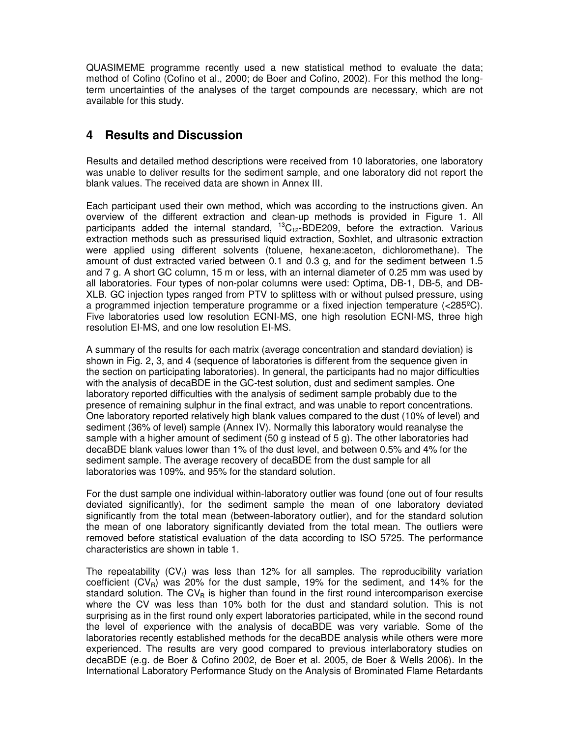QUASIMEME programme recently used a new statistical method to evaluate the data; method of Cofino (Cofino et al., 2000; de Boer and Cofino, 2002). For this method the longterm uncertainties of the analyses of the target compounds are necessary, which are not available for this study.

## **4 Results and Discussion**

Results and detailed method descriptions were received from 10 laboratories, one laboratory was unable to deliver results for the sediment sample, and one laboratory did not report the blank values. The received data are shown in Annex III.

Each participant used their own method, which was according to the instructions given. An overview of the different extraction and clean-up methods is provided in Figure 1. All participants added the internal standard,  ${}^{13}C_{12}$ -BDE209, before the extraction. Various extraction methods such as pressurised liquid extraction, Soxhlet, and ultrasonic extraction were applied using different solvents (toluene, hexane:aceton, dichloromethane). The amount of dust extracted varied between 0.1 and 0.3 g, and for the sediment between 1.5 and 7 g. A short GC column, 15 m or less, with an internal diameter of 0.25 mm was used by all laboratories. Four types of non-polar columns were used: Optima, DB-1, DB-5, and DB-XLB. GC injection types ranged from PTV to splittess with or without pulsed pressure, using a programmed injection temperature programme or a fixed injection temperature (<285ºC). Five laboratories used low resolution ECNI-MS, one high resolution ECNI-MS, three high resolution EI-MS, and one low resolution EI-MS.

A summary of the results for each matrix (average concentration and standard deviation) is shown in Fig. 2, 3, and 4 (sequence of laboratories is different from the sequence given in the section on participating laboratories). In general, the participants had no major difficulties with the analysis of decaBDE in the GC-test solution, dust and sediment samples. One laboratory reported difficulties with the analysis of sediment sample probably due to the presence of remaining sulphur in the final extract, and was unable to report concentrations. One laboratory reported relatively high blank values compared to the dust (10% of level) and sediment (36% of level) sample (Annex IV). Normally this laboratory would reanalyse the sample with a higher amount of sediment (50 g instead of 5 g). The other laboratories had decaBDE blank values lower than 1% of the dust level, and between 0.5% and 4% for the sediment sample. The average recovery of decaBDE from the dust sample for all laboratories was 109%, and 95% for the standard solution.

For the dust sample one individual within-laboratory outlier was found (one out of four results deviated significantly), for the sediment sample the mean of one laboratory deviated significantly from the total mean (between-laboratory outlier), and for the standard solution the mean of one laboratory significantly deviated from the total mean. The outliers were removed before statistical evaluation of the data according to ISO 5725. The performance characteristics are shown in table 1.

The repeatability  $(CV_r)$  was less than 12% for all samples. The reproducibility variation coefficient  $(CV_R)$  was 20% for the dust sample, 19% for the sediment, and 14% for the standard solution. The  $CV_R$  is higher than found in the first round intercomparison exercise where the CV was less than 10% both for the dust and standard solution. This is not surprising as in the first round only expert laboratories participated, while in the second round the level of experience with the analysis of decaBDE was very variable. Some of the laboratories recently established methods for the decaBDE analysis while others were more experienced. The results are very good compared to previous interlaboratory studies on decaBDE (e.g. de Boer & Cofino 2002, de Boer et al. 2005, de Boer & Wells 2006). In the International Laboratory Performance Study on the Analysis of Brominated Flame Retardants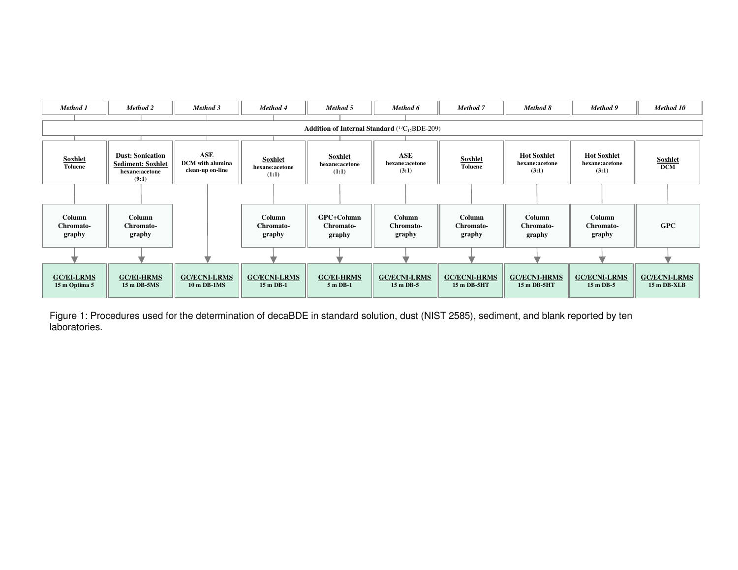

Figure 1: Procedures used for the determination of decaBDE in standard solution, dust (NIST 2585), sediment, and blank reported by ten laboratories.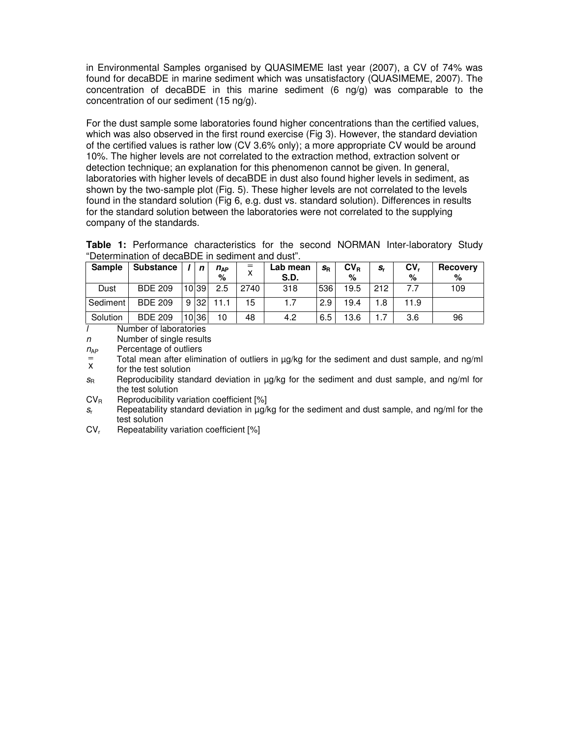in Environmental Samples organised by QUASIMEME last year (2007), a CV of 74% was found for decaBDE in marine sediment which was unsatisfactory (QUASIMEME, 2007). The concentration of decaBDE in this marine sediment  $(6 \text{ nq/q})$  was comparable to the concentration of our sediment (15 ng/g).

For the dust sample some laboratories found higher concentrations than the certified values, which was also observed in the first round exercise (Fig 3). However, the standard deviation of the certified values is rather low (CV 3.6% only); a more appropriate CV would be around 10%. The higher levels are not correlated to the extraction method, extraction solvent or detection technique; an explanation for this phenomenon cannot be given. In general, laboratories with higher levels of decaBDE in dust also found higher levels in sediment, as shown by the two-sample plot (Fig. 5). These higher levels are not correlated to the levels found in the standard solution (Fig 6, e.g. dust vs. standard solution). Differences in results for the standard solution between the laboratories were not correlated to the supplying company of the standards.

**Table 1:** Performance characteristics for the second NORMAN Inter-laboratory Study "Determination of decaBDE in sediment and dust".

| <b>Sample</b> | <b>Substance</b> |   | $\mathbf n$ | $n_{AP}$<br>% | $=$  | Lab mean<br><b>S.D.</b> | $S_{\mathsf{R}}$ | $CV_R$<br>% | $S_{r}$ | CV.<br>% | <b>Recovery</b><br>% |
|---------------|------------------|---|-------------|---------------|------|-------------------------|------------------|-------------|---------|----------|----------------------|
| Dust          | <b>BDE 209</b>   |   | 10 39       | 2.5           | 2740 | 318                     | 536              | 19.5        | 212     |          | 109                  |
| Sediment      | <b>BDE 209</b>   | 9 | 32          |               | 15   | 1.7                     | 2.9              | 19.4        | 1.8     | 11.9     |                      |
| Solution      | <b>BDE 209</b>   |   | 10 36       | 10            | 48   | 4.2                     | 6.5              | 13.6        | .7      | 3.6      | 96                   |

l Number of laboratories

n Number of single results

 $n_{AP}$  Percentage of outliers

 Total mean after elimination of outliers in µg/kg for the sediment and dust sample, and ng/ml for the test solution x

 $s_R$  Reproducibility standard deviation in  $\mu$ g/kg for the sediment and dust sample, and ng/ml for the test solution

 $CV_R$  Reproducibility variation coefficient  $[%]$ 

 $S_r$ Repeatability standard deviation in µg/kg for the sediment and dust sample, and ng/ml for the test solution

 $CV_r$ Repeatability variation coefficient [%]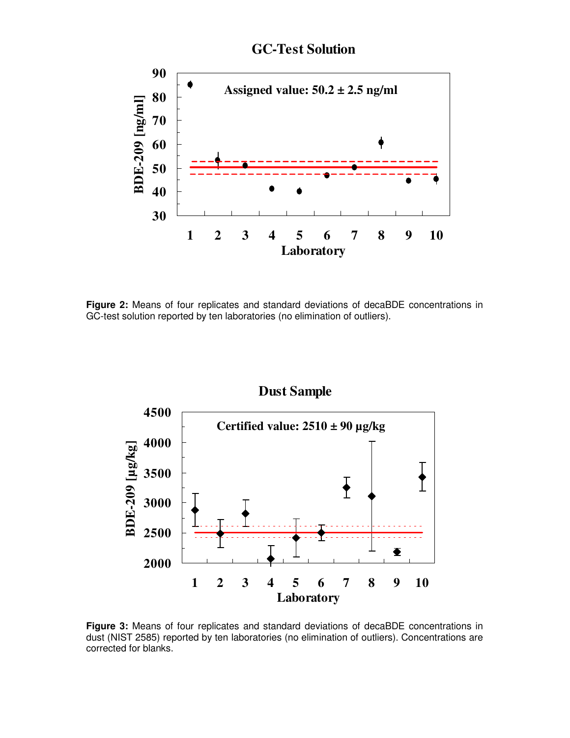

**GC-Test Solution**

**Figure 2:** Means of four replicates and standard deviations of decaBDE concentrations in GC-test solution reported by ten laboratories (no elimination of outliers).



**Figure 3:** Means of four replicates and standard deviations of decaBDE concentrations in dust (NIST 2585) reported by ten laboratories (no elimination of outliers). Concentrations are corrected for blanks.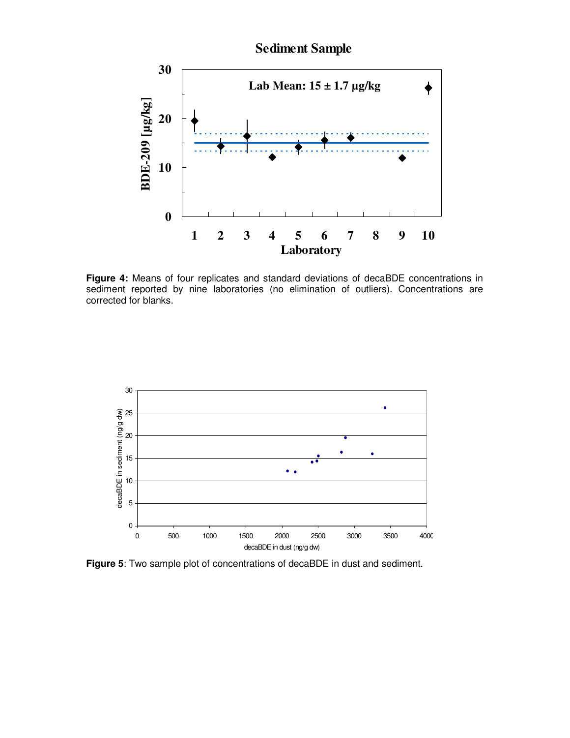

**Figure 4:** Means of four replicates and standard deviations of decaBDE concentrations in sediment reported by nine laboratories (no elimination of outliers). Concentrations are corrected for blanks.



**Figure 5**: Two sample plot of concentrations of decaBDE in dust and sediment.

# **Sediment Sample**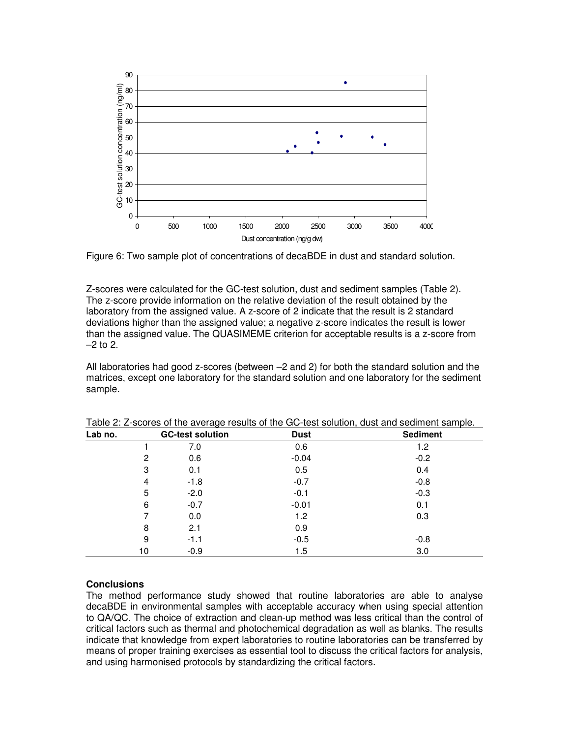

Figure 6: Two sample plot of concentrations of decaBDE in dust and standard solution.

Z-scores were calculated for the GC-test solution, dust and sediment samples (Table 2). The z-score provide information on the relative deviation of the result obtained by the laboratory from the assigned value. A z-score of 2 indicate that the result is 2 standard deviations higher than the assigned value; a negative z-score indicates the result is lower than the assigned value. The QUASIMEME criterion for acceptable results is a z-score from  $-2$  to 2.

All laboratories had good z-scores (between –2 and 2) for both the standard solution and the matrices, except one laboratory for the standard solution and one laboratory for the sediment sample.

| Lab no. |    | <b>GC-test solution</b> | <b>Dust</b> | <b>Sediment</b> |  |  |
|---------|----|-------------------------|-------------|-----------------|--|--|
|         |    | 7.0                     | 0.6         | 1.2             |  |  |
|         | 2  | 0.6                     | $-0.04$     | $-0.2$          |  |  |
|         | 3  | 0.1                     | 0.5         | 0.4             |  |  |
|         | 4  | $-1.8$                  | $-0.7$      | $-0.8$          |  |  |
|         | 5  | $-2.0$                  | $-0.1$      | $-0.3$          |  |  |
|         | 6  | $-0.7$                  | $-0.01$     | 0.1             |  |  |
|         |    | 0.0                     | 1.2         | 0.3             |  |  |
|         | 8  | 2.1                     | 0.9         |                 |  |  |
|         | 9  | $-1.1$                  | $-0.5$      | $-0.8$          |  |  |
|         | 10 | $-0.9$                  | 1.5         | 3.0             |  |  |

Table 2: Z-scores of the average results of the GC-test solution, dust and sediment sample.

### **Conclusions**

The method performance study showed that routine laboratories are able to analyse decaBDE in environmental samples with acceptable accuracy when using special attention to QA/QC. The choice of extraction and clean-up method was less critical than the control of critical factors such as thermal and photochemical degradation as well as blanks. The results indicate that knowledge from expert laboratories to routine laboratories can be transferred by means of proper training exercises as essential tool to discuss the critical factors for analysis, and using harmonised protocols by standardizing the critical factors.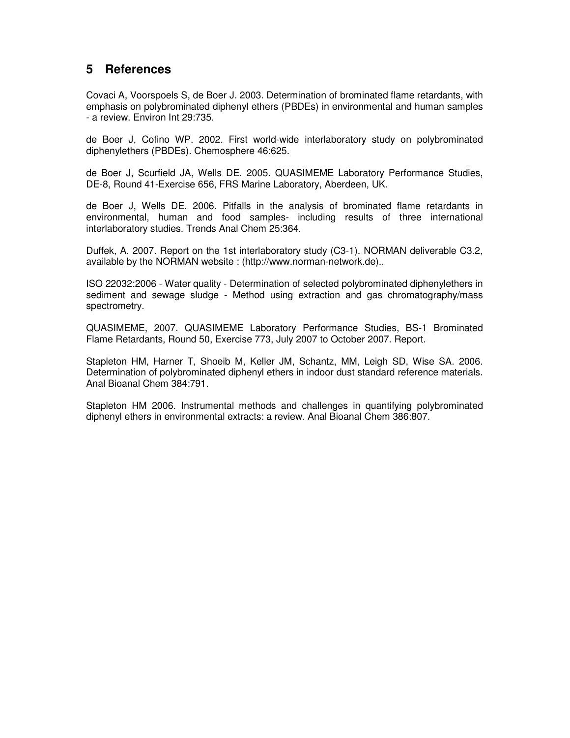## **5 References**

Covaci A, Voorspoels S, de Boer J. 2003. Determination of brominated flame retardants, with emphasis on polybrominated diphenyl ethers (PBDEs) in environmental and human samples - a review. Environ Int 29:735.

de Boer J, Cofino WP. 2002. First world-wide interlaboratory study on polybrominated diphenylethers (PBDEs). Chemosphere 46:625.

de Boer J, Scurfield JA, Wells DE. 2005. QUASIMEME Laboratory Performance Studies, DE-8, Round 41-Exercise 656, FRS Marine Laboratory, Aberdeen, UK.

de Boer J, Wells DE. 2006. Pitfalls in the analysis of brominated flame retardants in environmental, human and food samples- including results of three international interlaboratory studies. Trends Anal Chem 25:364.

Duffek, A. 2007. Report on the 1st interlaboratory study (C3-1). NORMAN deliverable C3.2, available by the NORMAN website : (http://www.norman-network.de)..

ISO 22032:2006 - Water quality - Determination of selected polybrominated diphenylethers in sediment and sewage sludge - Method using extraction and gas chromatography/mass spectrometry.

QUASIMEME, 2007. QUASIMEME Laboratory Performance Studies, BS-1 Brominated Flame Retardants, Round 50, Exercise 773, July 2007 to October 2007. Report.

Stapleton HM, Harner T, Shoeib M, Keller JM, Schantz, MM, Leigh SD, Wise SA. 2006. Determination of polybrominated diphenyl ethers in indoor dust standard reference materials. Anal Bioanal Chem 384:791.

Stapleton HM 2006. Instrumental methods and challenges in quantifying polybrominated diphenyl ethers in environmental extracts: a review. Anal Bioanal Chem 386:807.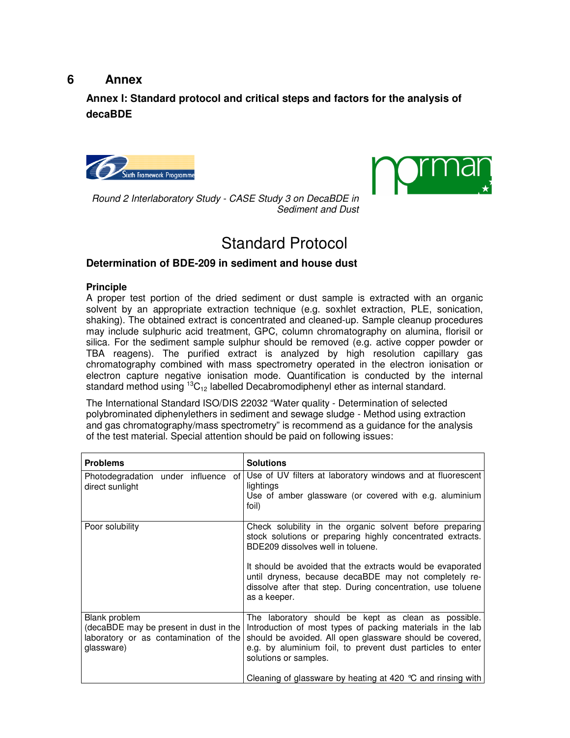## **6 Annex**

**Annex I: Standard protocol and critical steps and factors for the analysis of decaBDE** 





Round 2 Interlaboratory Study - CASE Study 3 on DecaBDE in Sediment and Dust

# Standard Protocol

### **Determination of BDE-209 in sediment and house dust**

### **Principle**

A proper test portion of the dried sediment or dust sample is extracted with an organic solvent by an appropriate extraction technique (e.g. soxhlet extraction, PLE, sonication, shaking). The obtained extract is concentrated and cleaned-up. Sample cleanup procedures may include sulphuric acid treatment, GPC, column chromatography on alumina, florisil or silica. For the sediment sample sulphur should be removed (e.g. active copper powder or TBA reagens). The purified extract is analyzed by high resolution capillary gas chromatography combined with mass spectrometry operated in the electron ionisation or electron capture negative ionisation mode. Quantification is conducted by the internal standard method using  ${}^{13}C_{12}$  labelled Decabromodiphenyl ether as internal standard.

The International Standard ISO/DIS 22032 "Water quality - Determination of selected polybrominated diphenylethers in sediment and sewage sludge - Method using extraction and gas chromatography/mass spectrometry" is recommend as a guidance for the analysis of the test material. Special attention should be paid on following issues:

| <b>Problems</b>                                                                                                | <b>Solutions</b>                                                                                                                                                                                                                                                     |
|----------------------------------------------------------------------------------------------------------------|----------------------------------------------------------------------------------------------------------------------------------------------------------------------------------------------------------------------------------------------------------------------|
| Photodegradation under influence of<br>direct sunlight                                                         | Use of UV filters at laboratory windows and at fluorescent<br>lightings<br>Use of amber glassware (or covered with e.g. aluminium<br>foil)                                                                                                                           |
| Poor solubility                                                                                                | Check solubility in the organic solvent before preparing<br>stock solutions or preparing highly concentrated extracts.<br>BDE209 dissolves well in toluene.                                                                                                          |
|                                                                                                                | It should be avoided that the extracts would be evaporated<br>until dryness, because decaBDE may not completely re-<br>dissolve after that step. During concentration, use toluene<br>as a keeper.                                                                   |
| Blank problem<br>(decaBDE may be present in dust in the<br>laboratory or as contamination of the<br>glassware) | The laboratory should be kept as clean as possible.<br>Introduction of most types of packing materials in the lab<br>should be avoided. All open glassware should be covered,<br>e.g. by aluminium foil, to prevent dust particles to enter<br>solutions or samples. |
|                                                                                                                | Cleaning of glassware by heating at 420 $\degree$ C and rinsing with                                                                                                                                                                                                 |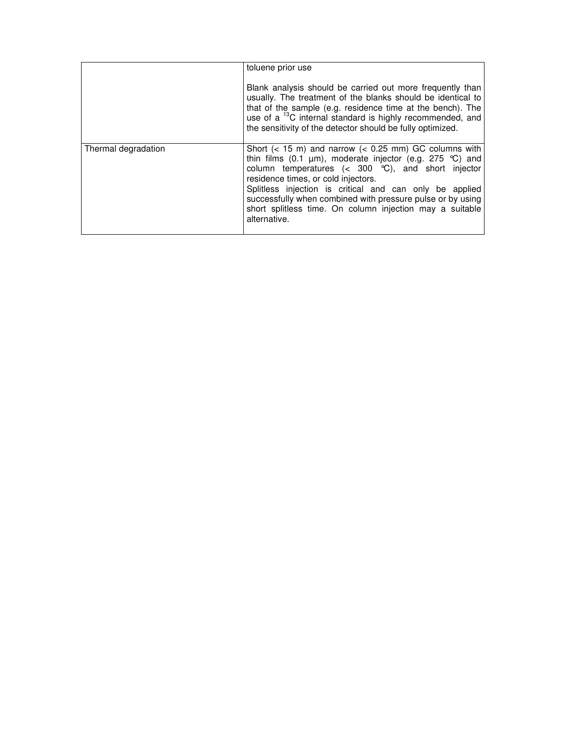|                     | toluene prior use                                                                                                                                                                                                                                                                                                                                                                                                                             |
|---------------------|-----------------------------------------------------------------------------------------------------------------------------------------------------------------------------------------------------------------------------------------------------------------------------------------------------------------------------------------------------------------------------------------------------------------------------------------------|
|                     | Blank analysis should be carried out more frequently than<br>usually. The treatment of the blanks should be identical to<br>that of the sample (e.g. residence time at the bench). The<br>use of a <sup>13</sup> C internal standard is highly recommended, and<br>the sensitivity of the detector should be fully optimized.                                                                                                                 |
| Thermal degradation | Short $(< 15 \text{ m})$ and narrow $(< 0.25 \text{ mm})$ GC columns with<br>thin films (0.1 $\mu$ m), moderate injector (e.g. 275 °C) and<br>column temperatures $(300 °C)$ , and short injector<br>residence times, or cold injectors.<br>Splitless injection is critical and can only be applied<br>successfully when combined with pressure pulse or by using<br>short splitless time. On column injection may a suitable<br>alternative. |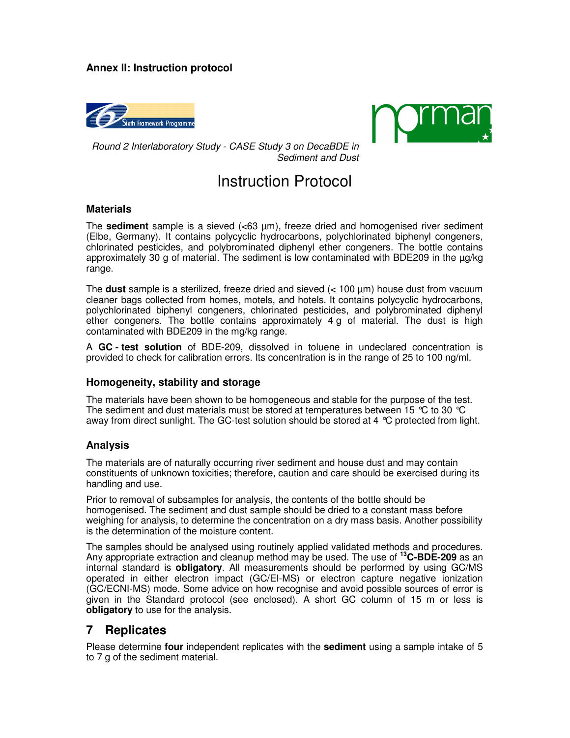### **Annex II: Instruction protocol**





Round 2 Interlaboratory Study - CASE Study 3 on DecaBDE in Sediment and Dust

# Instruction Protocol

#### **Materials**

The **sediment** sample is a sieved  $\langle 63 \mu m \rangle$ , freeze dried and homogenised river sediment (Elbe, Germany). It contains polycyclic hydrocarbons, polychlorinated biphenyl congeners, chlorinated pesticides, and polybrominated diphenyl ether congeners. The bottle contains approximately 30 g of material. The sediment is low contaminated with BDE209 in the µg/kg range.

The **dust** sample is a sterilized, freeze dried and sieved (< 100 µm) house dust from vacuum cleaner bags collected from homes, motels, and hotels. It contains polycyclic hydrocarbons, polychlorinated biphenyl congeners, chlorinated pesticides, and polybrominated diphenyl ether congeners. The bottle contains approximately 4 g of material. The dust is high contaminated with BDE209 in the mg/kg range.

A **GC - test solution** of BDE-209, dissolved in toluene in undeclared concentration is provided to check for calibration errors. Its concentration is in the range of 25 to 100 ng/ml.

### **Homogeneity, stability and storage**

The materials have been shown to be homogeneous and stable for the purpose of the test. The sediment and dust materials must be stored at temperatures between 15 °C to 30 °C away from direct sunlight. The GC-test solution should be stored at 4 °C protected from light.

### **Analysis**

The materials are of naturally occurring river sediment and house dust and may contain constituents of unknown toxicities; therefore, caution and care should be exercised during its handling and use.

Prior to removal of subsamples for analysis, the contents of the bottle should be homogenised. The sediment and dust sample should be dried to a constant mass before weighing for analysis, to determine the concentration on a dry mass basis. Another possibility is the determination of the moisture content.

The samples should be analysed using routinely applied validated methods and procedures. Any appropriate extraction and cleanup method may be used. The use of **<sup>13</sup>C-BDE-209** as an internal standard is **obligatory**. All measurements should be performed by using GC/MS operated in either electron impact (GC/EI-MS) or electron capture negative ionization (GC/ECNI-MS) mode. Some advice on how recognise and avoid possible sources of error is given in the Standard protocol (see enclosed). A short GC column of 15 m or less is **obligatory** to use for the analysis.

## **7 Replicates**

Please determine **four** independent replicates with the **sediment** using a sample intake of 5 to 7 g of the sediment material.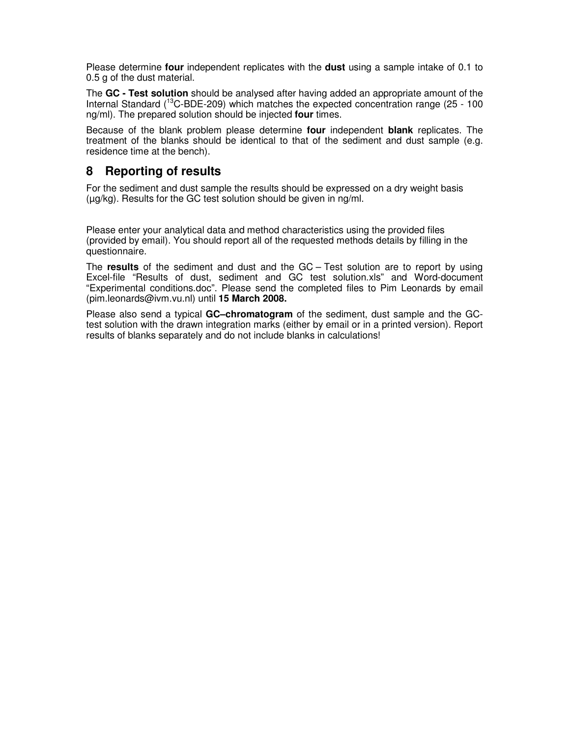Please determine **four** independent replicates with the **dust** using a sample intake of 0.1 to 0.5 g of the dust material.

The **GC - Test solution** should be analysed after having added an appropriate amount of the Internal Standard (<sup>13</sup>C-BDE-209) which matches the expected concentration range (25 - 100 ng/ml). The prepared solution should be injected **four** times.

Because of the blank problem please determine **four** independent **blank** replicates. The treatment of the blanks should be identical to that of the sediment and dust sample (e.g. residence time at the bench).

## **8 Reporting of results**

For the sediment and dust sample the results should be expressed on a dry weight basis (µg/kg). Results for the GC test solution should be given in ng/ml.

Please enter your analytical data and method characteristics using the provided files (provided by email). You should report all of the requested methods details by filling in the questionnaire.

The **results** of the sediment and dust and the GC – Test solution are to report by using Excel-file "Results of dust, sediment and GC test solution.xls" and Word-document "Experimental conditions.doc". Please send the completed files to Pim Leonards by email (pim.leonards@ivm.vu.nl) until **15 March 2008.** 

Please also send a typical **GC–chromatogram** of the sediment, dust sample and the GCtest solution with the drawn integration marks (either by email or in a printed version). Report results of blanks separately and do not include blanks in calculations!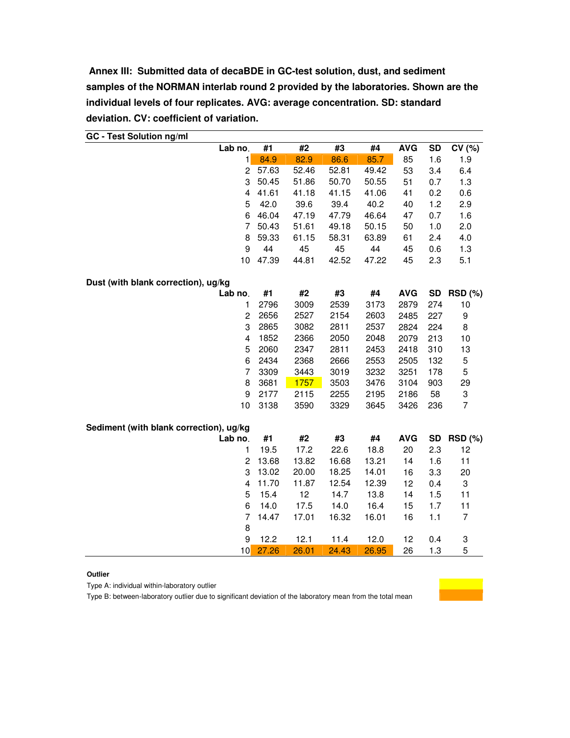**Annex III: Submitted data of decaBDE in GC-test solution, dust, and sediment samples of the NORMAN interlab round 2 provided by the laboratories. Shown are the individual levels of four replicates. AVG: average concentration. SD: standard deviation. CV: coefficient of variation.** 

| GC - Test Solution ng/mi<br>Lab no.     | #1    | #2          | #3    | #4    | <b>AVG</b> | <b>SD</b> | CV(%)          |
|-----------------------------------------|-------|-------------|-------|-------|------------|-----------|----------------|
| 1                                       | 84.9  | 82.9        | 86.6  | 85.7  | 85         | 1.6       | 1.9            |
| $\overline{c}$                          | 57.63 | 52.46       | 52.81 | 49.42 | 53         | 3.4       | 6.4            |
| 3                                       | 50.45 | 51.86       | 50.70 | 50.55 | 51         | 0.7       | 1.3            |
| 4                                       | 41.61 | 41.18       | 41.15 | 41.06 | 41         | 0.2       | 0.6            |
| 5                                       | 42.0  | 39.6        | 39.4  | 40.2  | 40         | 1.2       | 2.9            |
| 6                                       | 46.04 | 47.19       | 47.79 | 46.64 | 47         | 0.7       | 1.6            |
| 7                                       | 50.43 | 51.61       | 49.18 | 50.15 | 50         | 1.0       | 2.0            |
| 8                                       | 59.33 | 61.15       | 58.31 | 63.89 | 61         | 2.4       | 4.0            |
| 9                                       | 44    | 45          | 45    | 44    | 45         | 0.6       | 1.3            |
| 10                                      | 47.39 | 44.81       | 42.52 | 47.22 | 45         | 2.3       | 5.1            |
| Dust (with blank correction), ug/kg     |       |             |       |       |            |           |                |
| Lab no.                                 | #1    | #2          | #3    | #4    | <b>AVG</b> |           | SD RSD (%)     |
| 1                                       | 2796  | 3009        | 2539  | 3173  | 2879       | 274       | $10$           |
| $\overline{c}$                          | 2656  | 2527        | 2154  | 2603  | 2485       | 227       | 9              |
| 3                                       | 2865  | 3082        | 2811  | 2537  | 2824       | 224       | 8              |
| $\overline{\mathbf{4}}$                 | 1852  | 2366        | 2050  | 2048  | 2079       | 213       | 10             |
| 5                                       | 2060  | 2347        | 2811  | 2453  | 2418       | 310       | 13             |
| 6                                       | 2434  | 2368        | 2666  | 2553  | 2505       | 132       | 5              |
| $\overline{7}$                          | 3309  | 3443        | 3019  | 3232  | 3251       | 178       | 5              |
| 8                                       | 3681  | <b>1757</b> | 3503  | 3476  | 3104       | 903       | 29             |
| 9                                       | 2177  | 2115        | 2255  | 2195  | 2186       | 58        | 3              |
| 10                                      | 3138  | 3590        | 3329  | 3645  | 3426       | 236       | $\overline{7}$ |
| Sediment (with blank correction), ug/kg |       |             |       |       |            |           |                |
| Lab no.                                 | #1    | #2          | #3    | #4    | <b>AVG</b> | <b>SD</b> | <b>RSD (%)</b> |
| 1                                       | 19.5  | 17.2        | 22.6  | 18.8  | 20         | 2.3       | 12             |
| $\overline{c}$                          | 13.68 | 13.82       | 16.68 | 13.21 | 14         | 1.6       | 11             |
| 3                                       | 13.02 | 20.00       | 18.25 | 14.01 | 16         | 3.3       | 20             |
| 4                                       | 11.70 | 11.87       | 12.54 | 12.39 | 12         | 0.4       | 3              |
| 5                                       | 15.4  | 12          | 14.7  | 13.8  | 14         | 1.5       | 11             |
| 6                                       | 14.0  | 17.5        | 14.0  | 16.4  | 15         | 1.7       | 11             |
| $\overline{7}$                          | 14.47 | 17.01       | 16.32 | 16.01 | 16         | 1.1       | $\overline{7}$ |
| 8                                       |       |             |       |       |            |           |                |
| 9                                       | 12.2  | 12.1        | 11.4  | 12.0  | 12         | 0.4       | 3              |
| 10                                      | 27.26 | 26.01       | 24.43 | 26.95 | 26         | 1.3       | 5              |

**GC - Test Solution ng/ml** 

**Outlier** 

Type A: individual within-laboratory outlier

Type B: between-laboratory outlier due to significant deviation of the laboratory mean from the total mean